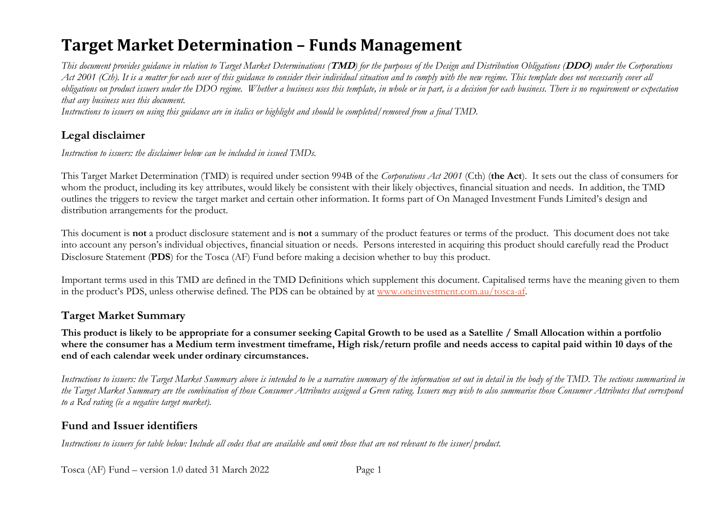# **Target Market Determination – Funds Management**

*This document provides guidance in relation to Target Market Determinations (***TMD***) for the purposes of the Design and Distribution Obligations (***DDO***) under the Corporations*  Act 2001 (Cth). It is a matter for each user of this guidance to consider their individual situation and to comply with the new regime. This template does not necessarily cover all *obligations on product issuers under the DDO regime. Whether a business uses this template, in whole or in part, is a decision for each business. There is no requirement or expectation that any business uses this document.*

*Instructions to issuers on using this guidance are in italics or highlight and should be completed/removed from a final TMD.*

## **Legal disclaimer**

*Instruction to issuers: the disclaimer below can be included in issued TMDs.*

This Target Market Determination (TMD) is required under section 994B of the *Corporations Act 2001* (Cth) (**the Act**). It sets out the class of consumers for whom the product, including its key attributes, would likely be consistent with their likely objectives, financial situation and needs. In addition, the TMD outlines the triggers to review the target market and certain other information. It forms part of On Managed Investment Funds Limited's design and distribution arrangements for the product.

This document is **not** a product disclosure statement and is **not** a summary of the product features or terms of the product. This document does not take into account any person's individual objectives, financial situation or needs. Persons interested in acquiring this product should carefully read the Product Disclosure Statement (**PDS**) for the Tosca (AF) Fund before making a decision whether to buy this product.

Important terms used in this TMD are defined in the TMD Definitions which supplement this document. Capitalised terms have the meaning given to them in the product's PDS, unless otherwise defined. The PDS can be obtained by at [www.oneinvestment.com.au/tosca-af.](http://www.oneinvestment.com.au/tosca-af)

## **Target Market Summary**

**This product is likely to be appropriate for a consumer seeking Capital Growth to be used as a Satellite / Small Allocation within a portfolio where the consumer has a Medium term investment timeframe, High risk/return profile and needs access to capital paid within 10 days of the end of each calendar week under ordinary circumstances.**

*Instructions to issuers: the Target Market Summary above is intended to be a narrative summary of the information set out in detail in the body of the TMD. The sections summarised in the Target Market Summary are the combination of those Consumer Attributes assigned a Green rating. Issuers may wish to also summarise those Consumer Attributes that correspond to a Red rating (ie a negative target market).* 

## **Fund and Issuer identifiers**

*Instructions to issuers for table below: Include all codes that are available and omit those that are not relevant to the issuer/product.*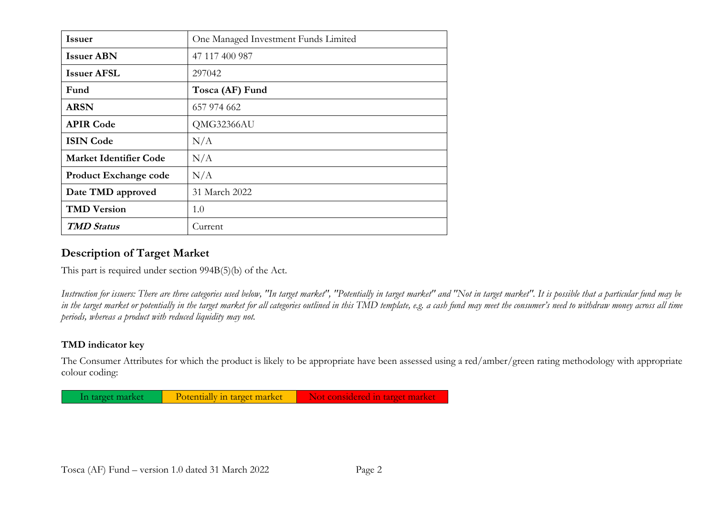| <b>Issuer</b>                 | One Managed Investment Funds Limited |
|-------------------------------|--------------------------------------|
| <b>Issuer ABN</b>             | 47 117 400 987                       |
| <b>Issuer AFSL</b>            | 297042                               |
| Fund                          | Tosca (AF) Fund                      |
| <b>ARSN</b>                   | 657 974 662                          |
| <b>APIR Code</b>              | QMG32366AU                           |
| <b>ISIN Code</b>              | N/A                                  |
| <b>Market Identifier Code</b> | N/A                                  |
| <b>Product Exchange code</b>  | N/A                                  |
| Date TMD approved             | 31 March 2022                        |
| <b>TMD Version</b>            | 1.0                                  |
| <b>TMD Status</b>             | Current                              |

### **Description of Target Market**

This part is required under section 994B(5)(b) of the Act.

*Instruction for issuers: There are three categories used below, "In target market", "Potentially in target market" and "Not in target market". It is possible that a particular fund may be in the target market or potentially in the target market for all categories outlined in this TMD template, e.g. a cash fund may meet the consumer's need to withdraw money across all time periods, whereas a product with reduced liquidity may not.*

### **TMD indicator key**

The Consumer Attributes for which the product is likely to be appropriate have been assessed using a red/amber/green rating methodology with appropriate colour coding:

In target market Potentially in target market Not considered in target market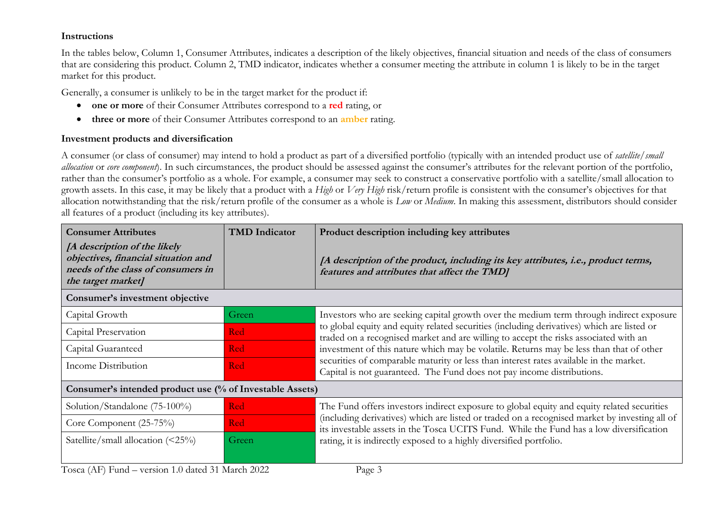### **Instructions**

In the tables below, Column 1, Consumer Attributes, indicates a description of the likely objectives, financial situation and needs of the class of consumers that are considering this product. Column 2, TMD indicator, indicates whether a consumer meeting the attribute in column 1 is likely to be in the target market for this product.

Generally, a consumer is unlikely to be in the target market for the product if:

- **one or more** of their Consumer Attributes correspond to a **red** rating, or
- **three or more** of their Consumer Attributes correspond to an **amber** rating.

### **Investment products and diversification**

A consumer (or class of consumer) may intend to hold a product as part of a diversified portfolio (typically with an intended product use of *satellite/small allocation* or *core component*). In such circumstances, the product should be assessed against the consumer's attributes for the relevant portion of the portfolio, rather than the consumer's portfolio as a whole. For example, a consumer may seek to construct a conservative portfolio with a satellite/small allocation to growth assets. In this case, it may be likely that a product with a *High* or *Very High* risk/return profile is consistent with the consumer's objectives for that allocation notwithstanding that the risk/return profile of the consumer as a whole is *Low* or *Medium*. In making this assessment, distributors should consider all features of a product (including its key attributes).

| <b>Consumer Attributes</b>                                                                                                      | <b>TMD</b> Indicator | Product description including key attributes                                                                                                                                             |
|---------------------------------------------------------------------------------------------------------------------------------|----------------------|------------------------------------------------------------------------------------------------------------------------------------------------------------------------------------------|
| [A description of the likely<br>objectives, financial situation and<br>needs of the class of consumers in<br>the target market] |                      | [A description of the product, including its key attributes, i.e., product terms,<br>features and attributes that affect the TMD]                                                        |
| Consumer's investment objective                                                                                                 |                      |                                                                                                                                                                                          |
| Capital Growth                                                                                                                  | Green                | Investors who are seeking capital growth over the medium term through indirect exposure                                                                                                  |
| Capital Preservation                                                                                                            | <b>Red</b>           | to global equity and equity related securities (including derivatives) which are listed or<br>traded on a recognised market and are willing to accept the risks associated with an       |
| Capital Guaranteed                                                                                                              | <b>Red</b>           | investment of this nature which may be volatile. Returns may be less than that of other                                                                                                  |
| Income Distribution                                                                                                             | <b>Red</b>           | securities of comparable maturity or less than interest rates available in the market.<br>Capital is not guaranteed. The Fund does not pay income distributions.                         |
| Consumer's intended product use (% of Investable Assets)                                                                        |                      |                                                                                                                                                                                          |
| Solution/Standalone (75-100%)                                                                                                   | <b>Red</b>           | The Fund offers investors indirect exposure to global equity and equity related securities                                                                                               |
| Core Component (25-75%)                                                                                                         | <b>Red</b>           | (including derivatives) which are listed or traded on a recognised market by investing all of<br>its investable assets in the Tosca UCITS Fund. While the Fund has a low diversification |
| Satellite/small allocation $(\leq 25\%)$                                                                                        | Green                | rating, it is indirectly exposed to a highly diversified portfolio.                                                                                                                      |
| $T0$ cca (AF) $\text{Fund}$ – version 1.0 dated 31 March 2022                                                                   |                      | $P_{\alpha\alpha\beta}$ 3                                                                                                                                                                |

Tosca (AF) Fund – version 1.0 dated 31 March 2022 Page 3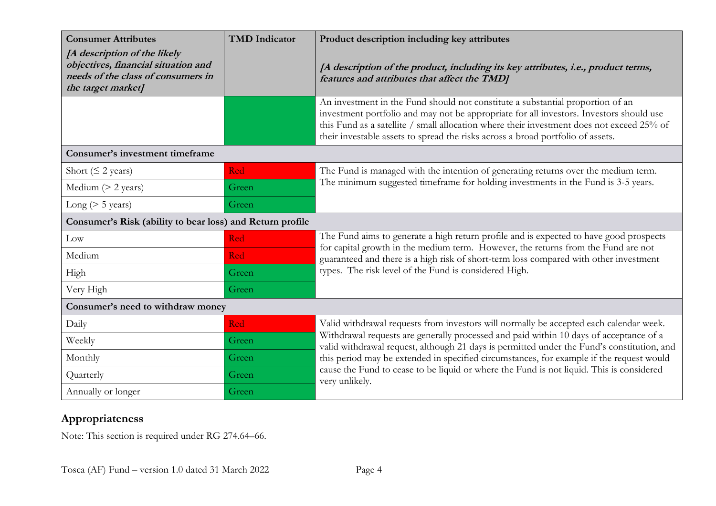| <b>Consumer Attributes</b>                                                                                                      | <b>TMD</b> Indicator | Product description including key attributes                                                                                                                                                                                                                                                                                                              |  |
|---------------------------------------------------------------------------------------------------------------------------------|----------------------|-----------------------------------------------------------------------------------------------------------------------------------------------------------------------------------------------------------------------------------------------------------------------------------------------------------------------------------------------------------|--|
| [A description of the likely<br>objectives, financial situation and<br>needs of the class of consumers in<br>the target market] |                      | [A description of the product, including its key attributes, i.e., product terms,<br>features and attributes that affect the TMD]                                                                                                                                                                                                                         |  |
|                                                                                                                                 |                      | An investment in the Fund should not constitute a substantial proportion of an<br>investment portfolio and may not be appropriate for all investors. Investors should use<br>this Fund as a satellite / small allocation where their investment does not exceed 25% of<br>their investable assets to spread the risks across a broad portfolio of assets. |  |
| Consumer's investment timeframe                                                                                                 |                      |                                                                                                                                                                                                                                                                                                                                                           |  |
| Short ( $\leq$ 2 years)                                                                                                         | Red                  | The Fund is managed with the intention of generating returns over the medium term.                                                                                                                                                                                                                                                                        |  |
| Medium $(> 2 \text{ years})$                                                                                                    | Green                | The minimum suggested timeframe for holding investments in the Fund is 3-5 years.                                                                                                                                                                                                                                                                         |  |
| Long ( $> 5$ years)                                                                                                             | Green                |                                                                                                                                                                                                                                                                                                                                                           |  |
| Consumer's Risk (ability to bear loss) and Return profile                                                                       |                      |                                                                                                                                                                                                                                                                                                                                                           |  |
| Low                                                                                                                             | Red                  | The Fund aims to generate a high return profile and is expected to have good prospects<br>for capital growth in the medium term. However, the returns from the Fund are not                                                                                                                                                                               |  |
| Medium                                                                                                                          | Red                  | guaranteed and there is a high risk of short-term loss compared with other investment                                                                                                                                                                                                                                                                     |  |
| High                                                                                                                            | Green                | types. The risk level of the Fund is considered High.                                                                                                                                                                                                                                                                                                     |  |
| Very High                                                                                                                       | Green                |                                                                                                                                                                                                                                                                                                                                                           |  |
| Consumer's need to withdraw money                                                                                               |                      |                                                                                                                                                                                                                                                                                                                                                           |  |
| Daily                                                                                                                           | Red                  | Valid withdrawal requests from investors will normally be accepted each calendar week.                                                                                                                                                                                                                                                                    |  |
| Weekly                                                                                                                          | Green                | Withdrawal requests are generally processed and paid within 10 days of acceptance of a<br>valid withdrawal request, although 21 days is permitted under the Fund's constitution, and                                                                                                                                                                      |  |
| Monthly                                                                                                                         | Green                | this period may be extended in specified circumstances, for example if the request would                                                                                                                                                                                                                                                                  |  |
| Quarterly                                                                                                                       | Green                | cause the Fund to cease to be liquid or where the Fund is not liquid. This is considered<br>very unlikely.                                                                                                                                                                                                                                                |  |
| Annually or longer                                                                                                              | Green                |                                                                                                                                                                                                                                                                                                                                                           |  |

# **Appropriateness**

Note: This section is required under RG 274.64–66.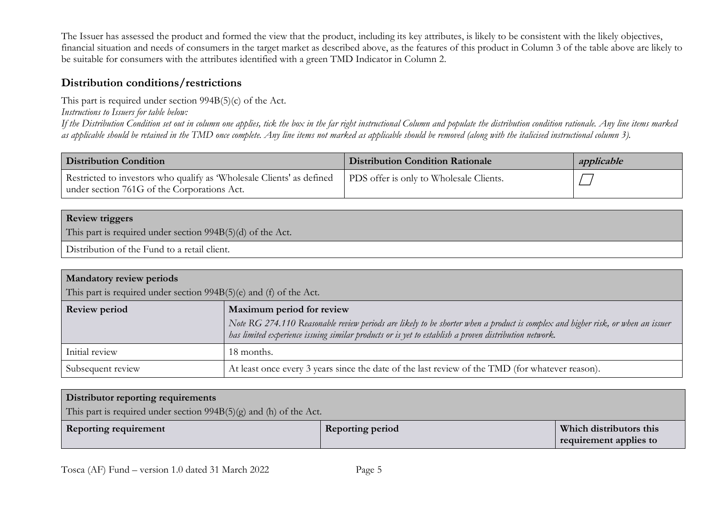The Issuer has assessed the product and formed the view that the product, including its key attributes, is likely to be consistent with the likely objectives, financial situation and needs of consumers in the target market as described above, as the features of this product in Column 3 of the table above are likely to be suitable for consumers with the attributes identified with a green TMD Indicator in Column 2.

### **Distribution conditions/restrictions**

This part is required under section 994B(5)(c) of the Act.

*Instructions to Issuers for table below:*

*If the Distribution Condition set out in column one applies, tick the box in the far right instructional Column and populate the distribution condition rationale. Any line items marked as applicable should be retained in the TMD once complete. Any line items not marked as applicable should be removed (along with the italicised instructional column 3).*

| <b>Distribution Condition</b>                                                                                        | <b>Distribution Condition Rationale</b> | applicable |
|----------------------------------------------------------------------------------------------------------------------|-----------------------------------------|------------|
| Restricted to investors who qualify as 'Wholesale Clients' as defined<br>under section 761G of the Corporations Act. | PDS offer is only to Wholesale Clients. |            |

### **Review triggers**

This part is required under section 994B(5)(d) of the Act.

Distribution of the Fund to a retail client.

| <b>Mandatory review periods</b>                                    |                                                                                                                                                                                                                                          |  |
|--------------------------------------------------------------------|------------------------------------------------------------------------------------------------------------------------------------------------------------------------------------------------------------------------------------------|--|
| This part is required under section 994B(5)(e) and (f) of the Act. |                                                                                                                                                                                                                                          |  |
| <b>Review period</b>                                               | Maximum period for review                                                                                                                                                                                                                |  |
|                                                                    | Note RG 274.110 Reasonable review periods are likely to be shorter when a product is complex and higher risk, or when an issuer<br>has limited experience issuing similar products or is yet to establish a proven distribution network. |  |
| Initial review                                                     | 18 months.                                                                                                                                                                                                                               |  |
| Subsequent review                                                  | At least once every 3 years since the date of the last review of the TMD (for whatever reason).                                                                                                                                          |  |

### **Distributor reporting requirements**

This part is required under section 994B(5)(g) and (h) of the Act.

| Which distributors this<br><b>Reporting requirement</b><br><b>Reporting period</b><br>equirement applies to |  |
|-------------------------------------------------------------------------------------------------------------|--|
|-------------------------------------------------------------------------------------------------------------|--|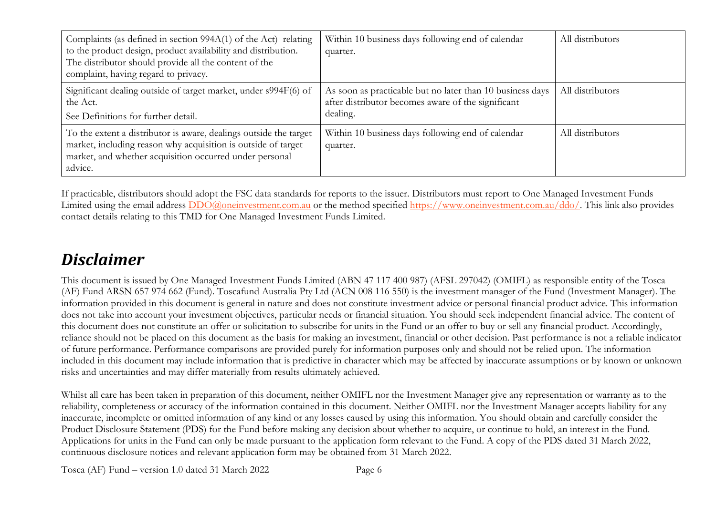| Complaints (as defined in section 994A(1) of the Act) relating<br>to the product design, product availability and distribution.<br>The distributor should provide all the content of the<br>complaint, having regard to privacy. | Within 10 business days following end of calendar<br>quarter.                                                               | All distributors |
|----------------------------------------------------------------------------------------------------------------------------------------------------------------------------------------------------------------------------------|-----------------------------------------------------------------------------------------------------------------------------|------------------|
| Significant dealing outside of target market, under s994F(6) of<br>the Act.<br>See Definitions for further detail.                                                                                                               | As soon as practicable but no later than 10 business days<br>after distributor becomes aware of the significant<br>dealing. | All distributors |
| To the extent a distributor is aware, dealings outside the target<br>market, including reason why acquisition is outside of target<br>market, and whether acquisition occurred under personal<br>advice.                         | Within 10 business days following end of calendar<br>quarter.                                                               | All distributors |

If practicable, distributors should adopt the FSC data standards for reports to the issuer. Distributors must report to One Managed Investment Funds Limited using the email address  $DDO@$  one investment.com.au or the method specified https://www.one investment.com.au/ddo/. This link also provides contact details relating to this TMD for One Managed Investment Funds Limited.

# *Disclaimer*

This document is issued by One Managed Investment Funds Limited (ABN 47 117 400 987) (AFSL 297042) (OMIFL) as responsible entity of the Tosca (AF) Fund ARSN 657 974 662 (Fund). Toscafund Australia Pty Ltd (ACN 008 116 550) is the investment manager of the Fund (Investment Manager). The information provided in this document is general in nature and does not constitute investment advice or personal financial product advice. This information does not take into account your investment objectives, particular needs or financial situation. You should seek independent financial advice. The content of this document does not constitute an offer or solicitation to subscribe for units in the Fund or an offer to buy or sell any financial product. Accordingly, reliance should not be placed on this document as the basis for making an investment, financial or other decision. Past performance is not a reliable indicator of future performance. Performance comparisons are provided purely for information purposes only and should not be relied upon. The information included in this document may include information that is predictive in character which may be affected by inaccurate assumptions or by known or unknown risks and uncertainties and may differ materially from results ultimately achieved.

Whilst all care has been taken in preparation of this document, neither OMIFL nor the Investment Manager give any representation or warranty as to the reliability, completeness or accuracy of the information contained in this document. Neither OMIFL nor the Investment Manager accepts liability for any inaccurate, incomplete or omitted information of any kind or any losses caused by using this information. You should obtain and carefully consider the Product Disclosure Statement (PDS) for the Fund before making any decision about whether to acquire, or continue to hold, an interest in the Fund. Applications for units in the Fund can only be made pursuant to the application form relevant to the Fund. A copy of the PDS dated 31 March 2022, continuous disclosure notices and relevant application form may be obtained from 31 March 2022.

Tosca (AF) Fund – version 1.0 dated 31 March 2022 Page 6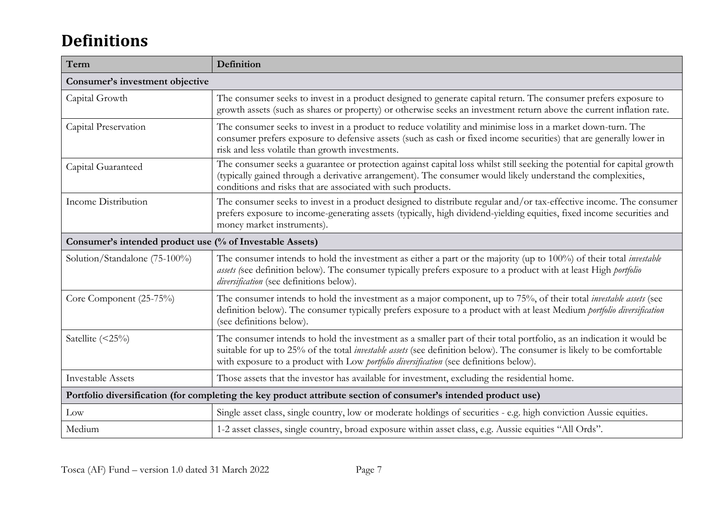# **Definitions**

| Term                                                                                                            | Definition                                                                                                                                                                                                                                                                                                                               |  |
|-----------------------------------------------------------------------------------------------------------------|------------------------------------------------------------------------------------------------------------------------------------------------------------------------------------------------------------------------------------------------------------------------------------------------------------------------------------------|--|
| Consumer's investment objective                                                                                 |                                                                                                                                                                                                                                                                                                                                          |  |
| Capital Growth                                                                                                  | The consumer seeks to invest in a product designed to generate capital return. The consumer prefers exposure to<br>growth assets (such as shares or property) or otherwise seeks an investment return above the current inflation rate.                                                                                                  |  |
| Capital Preservation                                                                                            | The consumer seeks to invest in a product to reduce volatility and minimise loss in a market down-turn. The<br>consumer prefers exposure to defensive assets (such as cash or fixed income securities) that are generally lower in<br>risk and less volatile than growth investments.                                                    |  |
| Capital Guaranteed                                                                                              | The consumer seeks a guarantee or protection against capital loss whilst still seeking the potential for capital growth<br>(typically gained through a derivative arrangement). The consumer would likely understand the complexities,<br>conditions and risks that are associated with such products.                                   |  |
| Income Distribution                                                                                             | The consumer seeks to invest in a product designed to distribute regular and/or tax-effective income. The consumer<br>prefers exposure to income-generating assets (typically, high dividend-yielding equities, fixed income securities and<br>money market instruments).                                                                |  |
| Consumer's intended product use (% of Investable Assets)                                                        |                                                                                                                                                                                                                                                                                                                                          |  |
| Solution/Standalone (75-100%)                                                                                   | The consumer intends to hold the investment as either a part or the majority (up to 100%) of their total investable<br>assets (see definition below). The consumer typically prefers exposure to a product with at least High <i>portfolio</i><br>diversification (see definitions below).                                               |  |
| Core Component (25-75%)                                                                                         | The consumer intends to hold the investment as a major component, up to 75%, of their total <i>investable assets</i> (see<br>definition below). The consumer typically prefers exposure to a product with at least Medium portfolio diversification<br>(see definitions below).                                                          |  |
| Satellite (<25%)                                                                                                | The consumer intends to hold the investment as a smaller part of their total portfolio, as an indication it would be<br>suitable for up to 25% of the total investable assets (see definition below). The consumer is likely to be comfortable<br>with exposure to a product with Low portfolio diversification (see definitions below). |  |
| <b>Investable Assets</b>                                                                                        | Those assets that the investor has available for investment, excluding the residential home.                                                                                                                                                                                                                                             |  |
| Portfolio diversification (for completing the key product attribute section of consumer's intended product use) |                                                                                                                                                                                                                                                                                                                                          |  |
| Low                                                                                                             | Single asset class, single country, low or moderate holdings of securities - e.g. high conviction Aussie equities.                                                                                                                                                                                                                       |  |
| Medium                                                                                                          | 1-2 asset classes, single country, broad exposure within asset class, e.g. Aussie equities "All Ords".                                                                                                                                                                                                                                   |  |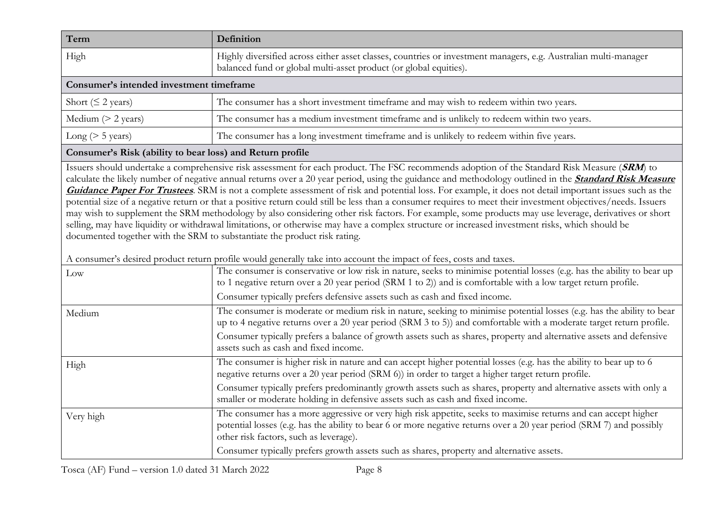| Term                                     | <b>Definition</b>                                                                                                                                                                    |  |
|------------------------------------------|--------------------------------------------------------------------------------------------------------------------------------------------------------------------------------------|--|
| High                                     | Highly diversified across either asset classes, countries or investment managers, e.g. Australian multi-manager<br>balanced fund or global multi-asset product (or global equities). |  |
| Consumer's intended investment timeframe |                                                                                                                                                                                      |  |
| Short ( $\leq$ 2 years)                  | The consumer has a short investment timeframe and may wish to redeem within two years.                                                                                               |  |
| Medium $(> 2$ years)                     | The consumer has a medium investment timeframe and is unlikely to redeem within two years.                                                                                           |  |
| Long ( $> 5$ years)                      | The consumer has a long investment timeframe and is unlikely to redeem within five years.                                                                                            |  |

### **Consumer's Risk (ability to bear loss) and Return profile**

Issuers should undertake a comprehensive risk assessment for each product. The FSC recommends adoption of the Standard Risk Measure (**SRM**) to calculate the likely number of negative annual returns over a 20 year period, using the guidance and methodology outlined in the **[Standard Risk Measure](https://protect-eu.mimecast.com/s/pqPaCwVNmtGRQpvMFVpVgu?domain=urldefense.com)  [Guidance Paper For Trustees](https://protect-eu.mimecast.com/s/pqPaCwVNmtGRQpvMFVpVgu?domain=urldefense.com)**. SRM is not a complete assessment of risk and potential loss. For example, it does not detail important issues such as the potential size of a negative return or that a positive return could still be less than a consumer requires to meet their investment objectives/needs. Issuers may wish to supplement the SRM methodology by also considering other risk factors. For example, some products may use leverage, derivatives or short selling, may have liquidity or withdrawal limitations, or otherwise may have a complex structure or increased investment risks, which should be documented together with the SRM to substantiate the product risk rating.

A consumer's desired product return profile would generally take into account the impact of fees, costs and taxes.

| Low       | The consumer is conservative or low risk in nature, seeks to minimise potential losses (e.g. has the ability to bear up<br>to 1 negative return over a 20 year period (SRM 1 to 2)) and is comfortable with a low target return profile.<br>Consumer typically prefers defensive assets such as cash and fixed income. |
|-----------|------------------------------------------------------------------------------------------------------------------------------------------------------------------------------------------------------------------------------------------------------------------------------------------------------------------------|
| Medium    | The consumer is moderate or medium risk in nature, seeking to minimise potential losses (e.g. has the ability to bear<br>up to 4 negative returns over a 20 year period (SRM 3 to 5)) and comfortable with a moderate target return profile.                                                                           |
|           | Consumer typically prefers a balance of growth assets such as shares, property and alternative assets and defensive<br>assets such as cash and fixed income.                                                                                                                                                           |
| High      | The consumer is higher risk in nature and can accept higher potential losses (e.g. has the ability to bear up to 6<br>negative returns over a 20 year period (SRM 6)) in order to target a higher target return profile.                                                                                               |
|           | Consumer typically prefers predominantly growth assets such as shares, property and alternative assets with only a<br>smaller or moderate holding in defensive assets such as cash and fixed income.                                                                                                                   |
| Very high | The consumer has a more aggressive or very high risk appetite, seeks to maximise returns and can accept higher<br>potential losses (e.g. has the ability to bear 6 or more negative returns over a 20 year period (SRM 7) and possibly<br>other risk factors, such as leverage).                                       |
|           | Consumer typically prefers growth assets such as shares, property and alternative assets.                                                                                                                                                                                                                              |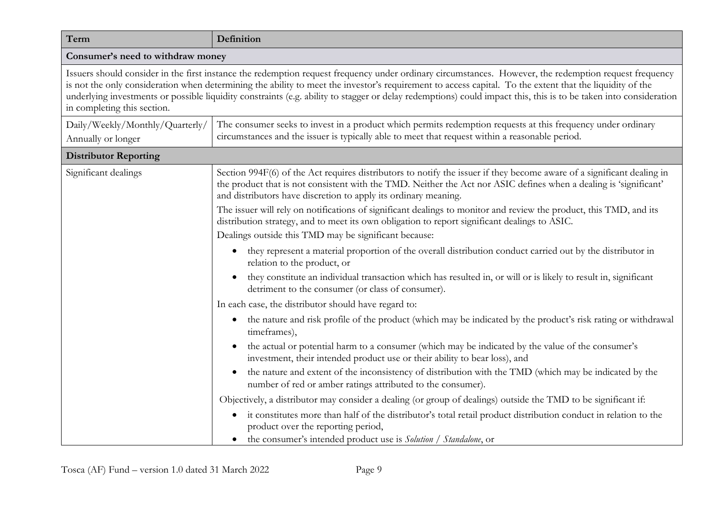| Definition                                                                                                                                                                                                                                                                                                                                                                                                                                                                                                             |  |  |
|------------------------------------------------------------------------------------------------------------------------------------------------------------------------------------------------------------------------------------------------------------------------------------------------------------------------------------------------------------------------------------------------------------------------------------------------------------------------------------------------------------------------|--|--|
| Consumer's need to withdraw money                                                                                                                                                                                                                                                                                                                                                                                                                                                                                      |  |  |
| Issuers should consider in the first instance the redemption request frequency under ordinary circumstances. However, the redemption request frequency<br>is not the only consideration when determining the ability to meet the investor's requirement to access capital. To the extent that the liquidity of the<br>underlying investments or possible liquidity constraints (e.g. ability to stagger or delay redemptions) could impact this, this is to be taken into consideration<br>in completing this section. |  |  |
| The consumer seeks to invest in a product which permits redemption requests at this frequency under ordinary<br>circumstances and the issuer is typically able to meet that request within a reasonable period.                                                                                                                                                                                                                                                                                                        |  |  |
|                                                                                                                                                                                                                                                                                                                                                                                                                                                                                                                        |  |  |
| Section 994F(6) of the Act requires distributors to notify the issuer if they become aware of a significant dealing in<br>the product that is not consistent with the TMD. Neither the Act nor ASIC defines when a dealing is 'significant'<br>and distributors have discretion to apply its ordinary meaning.                                                                                                                                                                                                         |  |  |
| The issuer will rely on notifications of significant dealings to monitor and review the product, this TMD, and its<br>distribution strategy, and to meet its own obligation to report significant dealings to ASIC.                                                                                                                                                                                                                                                                                                    |  |  |
| Dealings outside this TMD may be significant because:                                                                                                                                                                                                                                                                                                                                                                                                                                                                  |  |  |
| they represent a material proportion of the overall distribution conduct carried out by the distributor in<br>$\bullet$<br>relation to the product, or                                                                                                                                                                                                                                                                                                                                                                 |  |  |
| they constitute an individual transaction which has resulted in, or will or is likely to result in, significant<br>detriment to the consumer (or class of consumer).                                                                                                                                                                                                                                                                                                                                                   |  |  |
| In each case, the distributor should have regard to:                                                                                                                                                                                                                                                                                                                                                                                                                                                                   |  |  |
| the nature and risk profile of the product (which may be indicated by the product's risk rating or withdrawal<br>$\bullet$<br>timeframes),                                                                                                                                                                                                                                                                                                                                                                             |  |  |
| the actual or potential harm to a consumer (which may be indicated by the value of the consumer's<br>$\bullet$<br>investment, their intended product use or their ability to bear loss), and                                                                                                                                                                                                                                                                                                                           |  |  |
| the nature and extent of the inconsistency of distribution with the TMD (which may be indicated by the<br>$\bullet$<br>number of red or amber ratings attributed to the consumer).                                                                                                                                                                                                                                                                                                                                     |  |  |
| Objectively, a distributor may consider a dealing (or group of dealings) outside the TMD to be significant if:                                                                                                                                                                                                                                                                                                                                                                                                         |  |  |
| it constitutes more than half of the distributor's total retail product distribution conduct in relation to the<br>$\bullet$<br>product over the reporting period,<br>the consumer's intended product use is Solution / Standalone, or                                                                                                                                                                                                                                                                                 |  |  |
|                                                                                                                                                                                                                                                                                                                                                                                                                                                                                                                        |  |  |